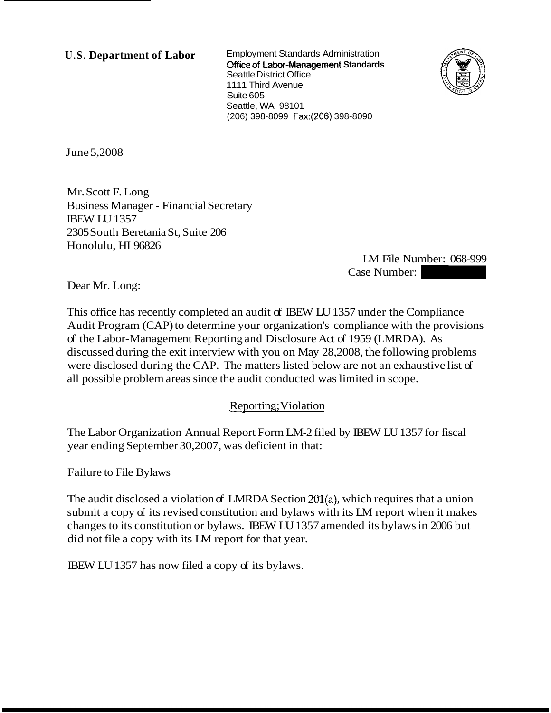**U.S. Department of Labor** Employment Standards Administration **Office of Labor-Management Standards** Seattle District Office 1111 Third Avenue Suite 605 Seattle, WA 98101 (206) 398-8099 Fax:(206) 398-8090



June 5,2008

Mr. Scott F. Long Business Manager - Financial Secretary IBEW LU 1357 2305 South Beretania St, Suite 206 Honolulu, HI 96826

LM File Number: 068-999 E-8090<br>
LM File Number: 068-999<br>
Case Number:<br>
57 under the Compliance

Dear Mr. Long:

This office has recently completed an audit of IBEW LU 1357 under the Compliance Audit Program (CAP) to determine your organization's compliance with the provisions of the Labor-Management Reporting and Disclosure Act of 1959 (LMRDA). As discussed during the exit interview with you on May 28,2008, the following problems were disclosed during the CAP. The matters listed below are not an exhaustive list of all possible problem areas since the audit conducted was limited in scope.

## Reporting; Violation

The Labor Organization Annual Report Form LM-2 filed by IBEW LU 1357 for fiscal year ending September 30,2007, was deficient in that:

Failure to File Bylaws

The audit disclosed a violation of LMRDA Section 201(a), which requires that a union submit a copy of its revised constitution and bylaws with its LM report when it makes changes to its constitution or bylaws. IBEW LU 1357 amended its bylaws in 2006 but did not file a copy with its LM report for that year.

IBEW LU 1357 has now filed a copy of its bylaws.